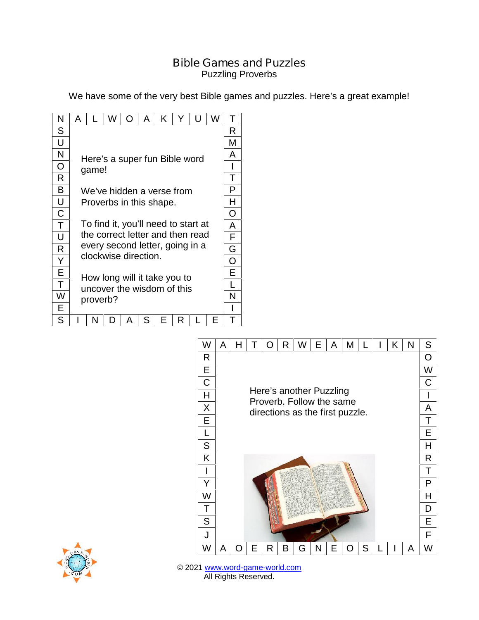## **Bible Games and Puzzles**

Puzzling Proverbs

We have some of the very best Bible games and puzzles. Here's a great example!

| Ν | A                                                                                |   | W | O | A | K | Y | U | W | Τ |
|---|----------------------------------------------------------------------------------|---|---|---|---|---|---|---|---|---|
| S |                                                                                  |   |   |   |   |   |   |   |   |   |
| U | Here's a super fun Bible word<br>game!                                           |   |   |   |   |   |   |   |   |   |
| N |                                                                                  |   |   |   |   |   |   |   |   |   |
| O |                                                                                  |   |   |   |   |   |   |   |   |   |
| R |                                                                                  |   |   |   |   |   |   |   |   | Т |
| В | We've hidden a verse from                                                        |   |   |   |   |   |   |   |   |   |
| U | Proverbs in this shape.                                                          |   |   |   |   |   |   |   |   | H |
| С |                                                                                  |   |   |   |   |   |   |   |   |   |
| T | To find it, you'll need to start at                                              |   |   |   |   |   |   |   |   | A |
| U | the correct letter and then read                                                 |   |   |   |   |   |   |   |   |   |
| R | every second letter, going in a<br>clockwise direction.                          |   |   |   |   |   |   |   |   | G |
| Y |                                                                                  |   |   |   |   |   |   |   |   | O |
| Е | E<br>How long will it take you to<br>uncover the wisdom of this<br>N<br>proverb? |   |   |   |   |   |   |   |   |   |
| Τ |                                                                                  |   |   |   |   |   |   |   |   |   |
| W |                                                                                  |   |   |   |   |   |   |   |   |   |
| Е |                                                                                  |   |   |   |   |   |   |   |   |   |
| S |                                                                                  | N | D | A | S | E | R |   | E | Τ |





© 2021 www.word-game-world.com All Rights Reserved.